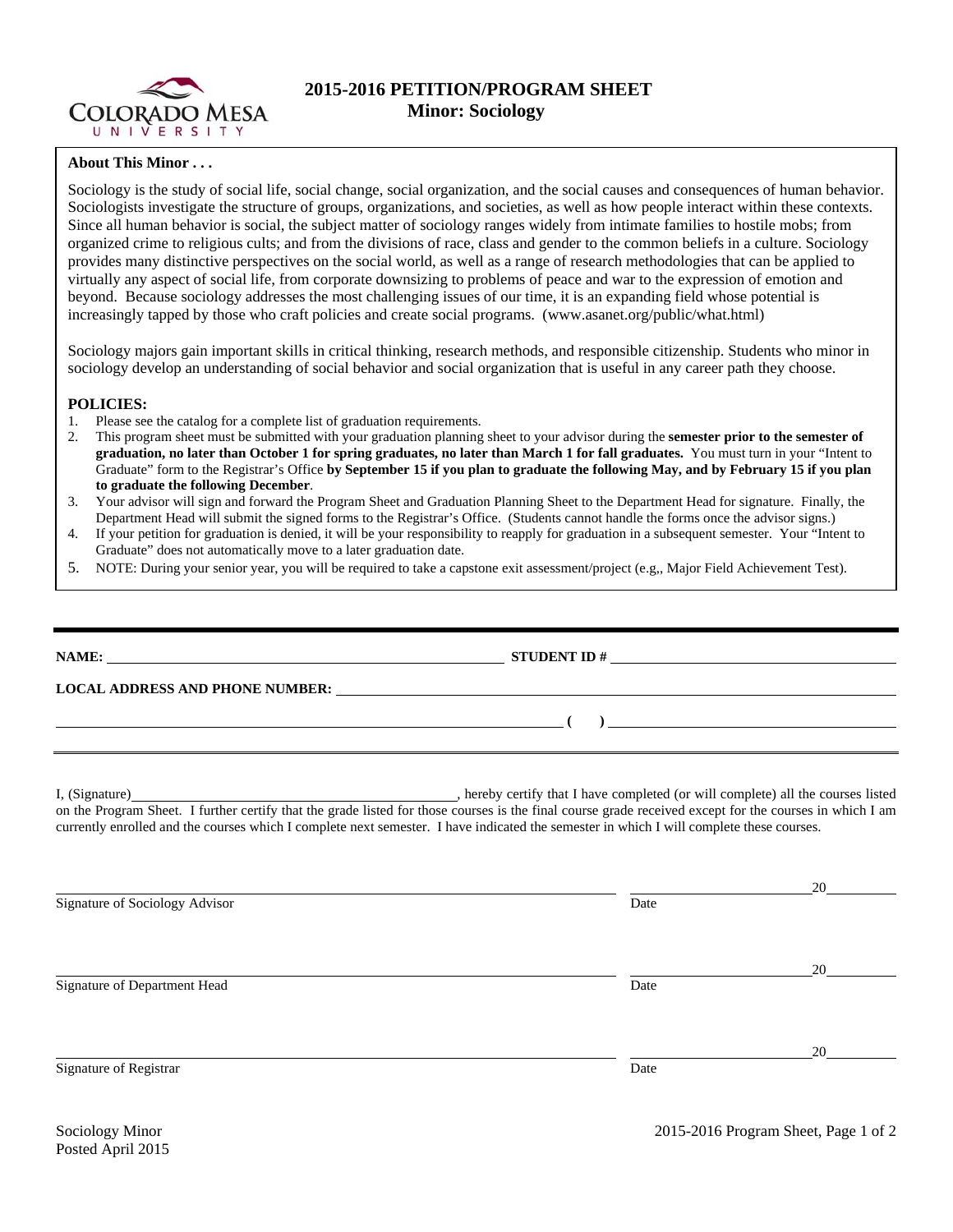

## **2015-2016 PETITION/PROGRAM SHEET Minor: Sociology**

## **About This Minor . . .**

Sociology is the study of social life, social change, social organization, and the social causes and consequences of human behavior. Sociologists investigate the structure of groups, organizations, and societies, as well as how people interact within these contexts. Since all human behavior is social, the subject matter of sociology ranges widely from intimate families to hostile mobs; from organized crime to religious cults; and from the divisions of race, class and gender to the common beliefs in a culture. Sociology provides many distinctive perspectives on the social world, as well as a range of research methodologies that can be applied to virtually any aspect of social life, from corporate downsizing to problems of peace and war to the expression of emotion and beyond. Because sociology addresses the most challenging issues of our time, it is an expanding field whose potential is increasingly tapped by those who craft policies and create social programs. (www.asanet.org/public/what.html)

Sociology majors gain important skills in critical thinking, research methods, and responsible citizenship. Students who minor in sociology develop an understanding of social behavior and social organization that is useful in any career path they choose.

## **POLICIES:**

- 1. Please see the catalog for a complete list of graduation requirements.
- 2. This program sheet must be submitted with your graduation planning sheet to your advisor during the **semester prior to the semester of graduation, no later than October 1 for spring graduates, no later than March 1 for fall graduates.** You must turn in your "Intent to Graduate" form to the Registrar's Office **by September 15 if you plan to graduate the following May, and by February 15 if you plan to graduate the following December**.
- 3. Your advisor will sign and forward the Program Sheet and Graduation Planning Sheet to the Department Head for signature. Finally, the Department Head will submit the signed forms to the Registrar's Office. (Students cannot handle the forms once the advisor signs.)
- 4. If your petition for graduation is denied, it will be your responsibility to reapply for graduation in a subsequent semester. Your "Intent to Graduate" does not automatically move to a later graduation date.
- 5. NOTE: During your senior year, you will be required to take a capstone exit assessment/project (e.g,, Major Field Achievement Test).

| ,我们也不会有什么。""我们的人,我们也不会有什么?""我们的人,我们也不会有什么?""我们的人,我们也不会有什么?""我们的人,我们也不会有什么?""我们的人 | $\overline{a}$ (b) and the contract of $\overline{a}$ (c) and $\overline{a}$ (c) and $\overline{a}$ (c) and $\overline{a}$ (c) and $\overline{a}$ (c) and $\overline{a}$ (c) and $\overline{a}$ (c) and $\overline{a}$ (c) and $\overline{a}$ (c) and $\overline{a}$ (c) and $\overline{a}$ (c) and |    |  |  |  |  |  |
|----------------------------------------------------------------------------------|-----------------------------------------------------------------------------------------------------------------------------------------------------------------------------------------------------------------------------------------------------------------------------------------------------|----|--|--|--|--|--|
|                                                                                  | currently enrolled and the courses which I complete next semester. I have indicated the semester in which I will complete these courses.                                                                                                                                                            |    |  |  |  |  |  |
|                                                                                  |                                                                                                                                                                                                                                                                                                     |    |  |  |  |  |  |
| Signature of Sociology Advisor                                                   | Date                                                                                                                                                                                                                                                                                                |    |  |  |  |  |  |
|                                                                                  |                                                                                                                                                                                                                                                                                                     | 20 |  |  |  |  |  |
| Signature of Department Head                                                     | Date                                                                                                                                                                                                                                                                                                |    |  |  |  |  |  |

Signature of Registrar Date **Date** Date of Registrar Date of Registrar Date of Registrar Date of Registrar Date of  $\alpha$ 

<u>20</u>